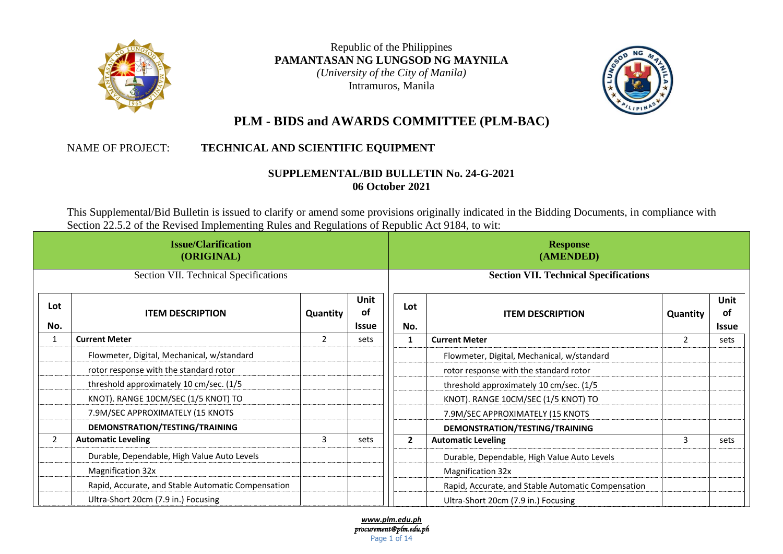

Republic of the Philippines **PAMANTASAN NG LUNGSOD NG MAYNILA** *(University of the City of Manila)* Intramuros, Manila



# **PLM - BIDS and AWARDS COMMITTEE (PLM-BAC)**

## NAME OF PROJECT: **TECHNICAL AND SCIENTIFIC EQUIPMENT**

## **SUPPLEMENTAL/BID BULLETIN No. 24-G-2021 06 October 2021**

This Supplemental/Bid Bulletin is issued to clarify or amend some provisions originally indicated in the Bidding Documents, in compliance with Section 22.5.2 of the Revised Implementing Rules and Regulations of Republic Act 9184, to wit:

| <b>Issue/Clarification</b><br>(ORIGINAL) |                                                    |                |                                   |              | <b>Response</b><br>(AMENDED)                       |          |                            |
|------------------------------------------|----------------------------------------------------|----------------|-----------------------------------|--------------|----------------------------------------------------|----------|----------------------------|
|                                          | Section VII. Technical Specifications              |                |                                   |              | <b>Section VII. Technical Specifications</b>       |          |                            |
| Lot<br>No.                               | <b>ITEM DESCRIPTION</b>                            | Quantity       | <b>Unit</b><br>of<br><b>Issue</b> | Lot<br>No.   | <b>ITEM DESCRIPTION</b>                            | Quantity | Unit<br>of<br><b>Issue</b> |
| $\mathbf{1}$                             | <b>Current Meter</b>                               | $\overline{2}$ | sets                              |              | <b>Current Meter</b>                               | 2        | sets                       |
|                                          | Flowmeter, Digital, Mechanical, w/standard         |                |                                   |              | Flowmeter, Digital, Mechanical, w/standard         |          |                            |
|                                          | rotor response with the standard rotor             |                |                                   |              | rotor response with the standard rotor             |          |                            |
|                                          | threshold approximately 10 cm/sec. (1/5            |                |                                   |              | threshold approximately 10 cm/sec. (1/5            |          |                            |
|                                          | KNOT). RANGE 10CM/SEC (1/5 KNOT) TO                |                |                                   |              | KNOT). RANGE 10CM/SEC (1/5 KNOT) TO                |          |                            |
|                                          | 7.9M/SEC APPROXIMATELY (15 KNOTS                   |                |                                   |              | 7.9M/SEC APPROXIMATELY (15 KNOTS                   |          |                            |
|                                          | DEMONSTRATION/TESTING/TRAINING                     |                |                                   |              | DEMONSTRATION/TESTING/TRAINING                     |          |                            |
| $\overline{2}$                           | <b>Automatic Leveling</b>                          | 3              | sets                              | $\mathbf{2}$ | <b>Automatic Leveling</b>                          | 3        | sets                       |
|                                          | Durable, Dependable, High Value Auto Levels        |                |                                   |              | Durable, Dependable, High Value Auto Levels        |          |                            |
|                                          | Magnification 32x                                  |                |                                   |              | <b>Magnification 32x</b>                           |          |                            |
|                                          | Rapid, Accurate, and Stable Automatic Compensation |                |                                   |              | Rapid, Accurate, and Stable Automatic Compensation |          |                            |
|                                          | Ultra-Short 20cm (7.9 in.) Focusing                |                |                                   |              | Ultra-Short 20cm (7.9 in.) Focusing                |          |                            |

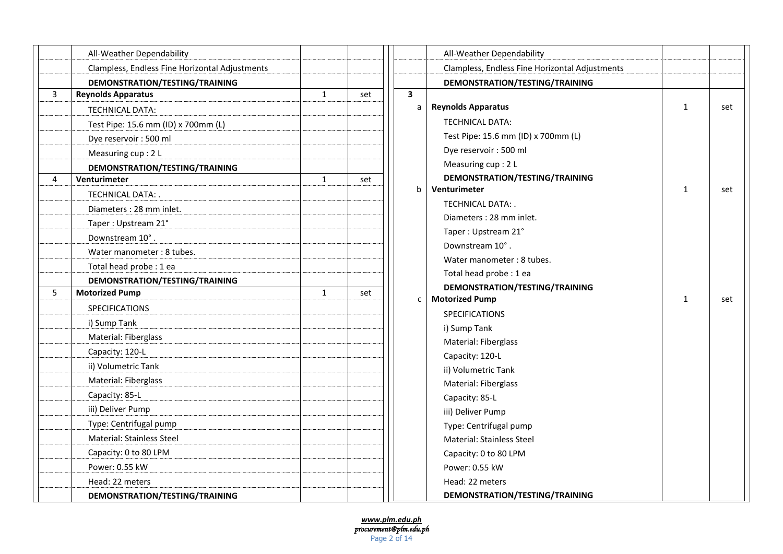|   | All-Weather Dependability                      |   |     |
|---|------------------------------------------------|---|-----|
|   | Clampless, Endless Fine Horizontal Adjustments |   |     |
|   | DEMONSTRATION/TESTING/TRAINING                 |   |     |
| 3 | <b>Reynolds Apparatus</b>                      | 1 | set |
|   | <b>TECHNICAL DATA:</b>                         |   |     |
|   | Test Pipe: 15.6 mm (ID) x 700mm (L)            |   |     |
|   | Dye reservoir: 500 ml                          |   |     |
|   | Measuring cup: 2 L                             |   |     |
|   | DEMONSTRATION/TESTING/TRAINING                 |   |     |
| 4 | Venturimeter                                   | 1 | set |
|   | TECHNICAL DATA: .                              |   |     |
|   | Diameters: 28 mm inlet.                        |   |     |
|   | Taper: Upstream 21°                            |   |     |
|   | Downstream 10°.                                |   |     |
|   | Water manometer: 8 tubes.                      |   |     |
|   | Total head probe : 1 ea                        |   |     |
|   | DEMONSTRATION/TESTING/TRAINING                 |   |     |
| 5 | <b>Motorized Pump</b>                          | 1 | set |
|   | <b>SPECIFICATIONS</b>                          |   |     |
|   | i) Sump Tank                                   |   |     |
|   | Material: Fiberglass                           |   |     |
|   | Capacity: 120-L                                |   |     |
|   | ii) Volumetric Tank                            |   |     |
|   | Material: Fiberglass                           |   |     |
|   | Capacity: 85-L                                 |   |     |
|   | iii) Deliver Pump                              |   |     |
|   | Type: Centrifugal pump                         |   |     |
|   | Material: Stainless Steel                      |   |     |
|   | Capacity: 0 to 80 LPM                          |   |     |
|   | Power: 0.55 kW                                 |   |     |
|   | Head: 22 meters                                |   |     |
|   | DEMONSTRATION/TESTING/TRAINING                 |   |     |

|   | All-Weather Dependability                      |              |     |
|---|------------------------------------------------|--------------|-----|
|   | Clampless, Endless Fine Horizontal Adjustments |              |     |
|   | DEMONSTRATION/TESTING/TRAINING                 |              |     |
| 3 |                                                |              |     |
| a | <b>Reynolds Apparatus</b>                      | 1            | set |
|   | <b>TECHNICAL DATA:</b>                         |              |     |
|   | Test Pipe: 15.6 mm (ID) x 700mm (L)            |              |     |
|   | Dye reservoir: 500 ml                          |              |     |
|   | Measuring cup: 2 L                             |              |     |
|   | DEMONSTRATION/TESTING/TRAINING                 |              |     |
| b | Venturimeter                                   | $\mathbf{1}$ | set |
|   | TECHNICAL DATA: .                              |              |     |
|   | Diameters: 28 mm inlet.                        |              |     |
|   | Taper: Upstream 21°                            |              |     |
|   | Downstream 10°.                                |              |     |
|   | Water manometer: 8 tubes.                      |              |     |
|   | Total head probe : 1 ea                        |              |     |
|   | DEMONSTRATION/TESTING/TRAINING                 |              |     |
| C | <b>Motorized Pump</b>                          | $\mathbf{1}$ | set |
|   | <b>SPECIFICATIONS</b>                          |              |     |
|   | i) Sump Tank                                   |              |     |
|   | Material: Fiberglass                           |              |     |
|   | Capacity: 120-L                                |              |     |
|   | ii) Volumetric Tank                            |              |     |
|   | Material: Fiberglass                           |              |     |
|   | Capacity: 85-L                                 |              |     |
|   | iii) Deliver Pump                              |              |     |
|   | Type: Centrifugal pump                         |              |     |
|   | Material: Stainless Steel                      |              |     |
|   | Capacity: 0 to 80 LPM                          |              |     |
|   | Power: 0.55 kW                                 |              |     |
|   | Head: 22 meters                                |              |     |
|   | DEMONSTRATION/TESTING/TRAINING                 |              |     |

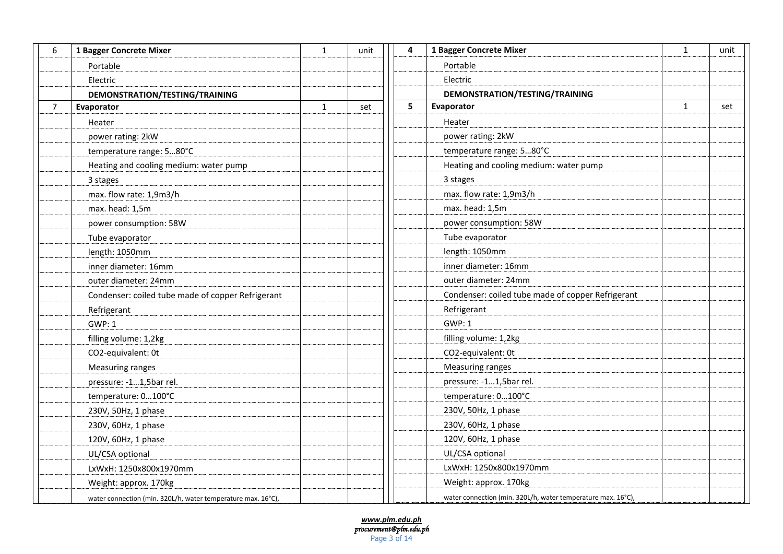| 6 | 1 Bagger Concrete Mixer                                      | $\mathbf{1}$ | unit | 4 | 1 Bagger Concrete Mixer                                      | $\mathbf{1}$ | unit |
|---|--------------------------------------------------------------|--------------|------|---|--------------------------------------------------------------|--------------|------|
|   | Portable                                                     |              |      |   | Portable                                                     |              |      |
|   | Electric                                                     |              |      |   | Electric                                                     |              |      |
|   | DEMONSTRATION/TESTING/TRAINING                               |              |      |   | DEMONSTRATION/TESTING/TRAINING                               |              |      |
| 7 | Evaporator                                                   | $\mathbf{1}$ | set  | 5 | Evaporator                                                   | $\mathbf{1}$ | set  |
|   | Heater                                                       |              |      |   | Heater                                                       |              |      |
|   | power rating: 2kW                                            |              |      |   | power rating: 2kW                                            |              |      |
|   | temperature range: 580°C                                     |              |      |   | temperature range: 580°C                                     |              |      |
|   | Heating and cooling medium: water pump                       |              |      |   | Heating and cooling medium: water pump                       |              |      |
|   | 3 stages                                                     |              |      |   | 3 stages                                                     |              |      |
|   | max. flow rate: 1,9m3/h                                      |              |      |   | max. flow rate: 1,9m3/h                                      |              |      |
|   | max. head: 1,5m                                              |              |      |   | max. head: 1,5m                                              |              |      |
|   | power consumption: 58W                                       |              |      |   | power consumption: 58W                                       |              |      |
|   | Tube evaporator                                              |              |      |   | Tube evaporator                                              |              |      |
|   | length: 1050mm                                               |              |      |   | length: 1050mm                                               |              |      |
|   | inner diameter: 16mm                                         |              |      |   | inner diameter: 16mm                                         |              |      |
|   | outer diameter: 24mm                                         |              |      |   | outer diameter: 24mm                                         |              |      |
|   | Condenser: coiled tube made of copper Refrigerant            |              |      |   | Condenser: coiled tube made of copper Refrigerant            |              |      |
|   | Refrigerant                                                  |              |      |   | Refrigerant                                                  |              |      |
|   | <b>GWP: 1</b>                                                |              |      |   | <b>GWP: 1</b>                                                |              |      |
|   | filling volume: 1,2kg                                        |              |      |   | filling volume: 1,2kg                                        |              |      |
|   | CO2-equivalent: 0t                                           |              |      |   | CO2-equivalent: 0t                                           |              |      |
|   | <b>Measuring ranges</b>                                      |              |      |   | Measuring ranges                                             |              |      |
|   | pressure: -11,5bar rel.                                      |              |      |   | pressure: -11,5bar rel.                                      |              |      |
|   | temperature: 0100°C                                          |              |      |   | temperature: 0100°C                                          |              |      |
|   | 230V, 50Hz, 1 phase                                          |              |      |   | 230V, 50Hz, 1 phase                                          |              |      |
|   | 230V, 60Hz, 1 phase                                          |              |      |   | 230V, 60Hz, 1 phase                                          |              |      |
|   | 120V, 60Hz, 1 phase                                          |              |      |   | 120V, 60Hz, 1 phase                                          |              |      |
|   | UL/CSA optional                                              |              |      |   | UL/CSA optional                                              |              |      |
|   | LxWxH: 1250x800x1970mm                                       |              |      |   | LxWxH: 1250x800x1970mm                                       |              |      |
|   | Weight: approx. 170kg                                        |              |      |   | Weight: approx. 170kg                                        |              |      |
|   | water connection (min. 320L/h, water temperature max. 16°C), |              |      |   | water connection (min. 320L/h, water temperature max. 16°C), |              |      |

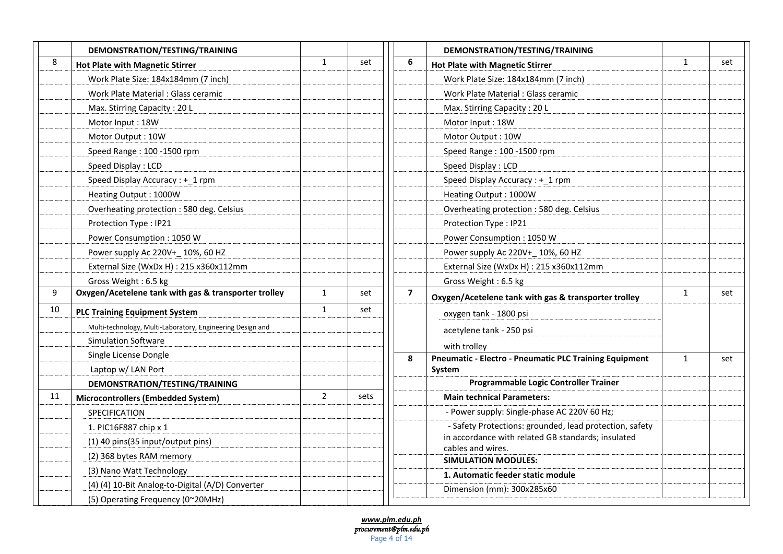|    | DEMONSTRATION/TESTING/TRAINING                             |              |      |                | DEMONSTRATION/TESTING/TRAINING                                          |              |     |
|----|------------------------------------------------------------|--------------|------|----------------|-------------------------------------------------------------------------|--------------|-----|
| 8  | <b>Hot Plate with Magnetic Stirrer</b>                     | $\mathbf{1}$ | set  | 6              | <b>Hot Plate with Magnetic Stirrer</b>                                  | $\mathbf{1}$ | set |
|    | Work Plate Size: 184x184mm (7 inch)                        |              |      |                | Work Plate Size: 184x184mm (7 inch)                                     |              |     |
|    | Work Plate Material : Glass ceramic                        |              |      |                | Work Plate Material: Glass ceramic                                      |              |     |
|    | Max. Stirring Capacity: 20 L                               |              |      |                | Max. Stirring Capacity: 20 L                                            |              |     |
|    | Motor Input: 18W                                           |              |      |                | Motor Input: 18W                                                        |              |     |
|    | Motor Output: 10W                                          |              |      |                | Motor Output: 10W                                                       |              |     |
|    | Speed Range: 100 - 1500 rpm                                |              |      |                | Speed Range: 100 -1500 rpm                                              |              |     |
|    | Speed Display: LCD                                         |              |      |                | Speed Display: LCD                                                      |              |     |
|    | Speed Display Accuracy : + 1 rpm                           |              |      |                | Speed Display Accuracy : +_1 rpm                                        |              |     |
|    | Heating Output: 1000W                                      |              |      |                | Heating Output: 1000W                                                   |              |     |
|    | Overheating protection : 580 deg. Celsius                  |              |      |                | Overheating protection : 580 deg. Celsius                               |              |     |
|    | Protection Type: IP21                                      |              |      |                | Protection Type: IP21                                                   |              |     |
|    | Power Consumption: 1050 W                                  |              |      |                | Power Consumption: 1050 W                                               |              |     |
|    | Power supply Ac 220V+ 10%, 60 HZ                           |              |      |                | Power supply Ac 220V+ 10%, 60 HZ                                        |              |     |
|    | External Size (WxDx H) : 215 x360x112mm                    |              |      |                | External Size (WxDx H) : 215 x360x112mm                                 |              |     |
|    | Gross Weight: 6.5 kg                                       |              |      |                | Gross Weight: 6.5 kg                                                    |              |     |
| 9  | Oxygen/Acetelene tank with gas & transporter trolley       | $\mathbf{1}$ | set  | $\overline{7}$ | Oxygen/Acetelene tank with gas & transporter trolley                    | $\mathbf{1}$ | set |
| 10 | <b>PLC Training Equipment System</b>                       | $\mathbf{1}$ | set  |                | oxygen tank - 1800 psi                                                  |              |     |
|    | Multi-technology, Multi-Laboratory, Engineering Design and |              |      |                | acetylene tank - 250 psi                                                |              |     |
|    | <b>Simulation Software</b>                                 |              |      |                | with trolley                                                            |              |     |
|    | Single License Dongle                                      |              |      | 8              | <b>Pneumatic - Electro - Pneumatic PLC Training Equipment</b>           | $\mathbf{1}$ | set |
|    | Laptop w/ LAN Port                                         |              |      |                | System                                                                  |              |     |
|    | DEMONSTRATION/TESTING/TRAINING                             |              |      |                | Programmable Logic Controller Trainer                                   |              |     |
| 11 | Microcontrollers (Embedded System)                         | $2^{\circ}$  | sets |                | <b>Main technical Parameters:</b>                                       |              |     |
|    | SPECIFICATION                                              |              |      |                | - Power supply: Single-phase AC 220V 60 Hz;                             |              |     |
|    | 1. PIC16F887 chip x 1                                      |              |      |                | - Safety Protections: grounded, lead protection, safety                 |              |     |
|    | (1) 40 pins (35 input/output pins)                         |              |      |                | in accordance with related GB standards; insulated<br>cables and wires. |              |     |
|    | (2) 368 bytes RAM memory                                   |              |      |                | <b>SIMULATION MODULES:</b>                                              |              |     |
|    | (3) Nano Watt Technology                                   |              |      |                | 1. Automatic feeder static module                                       |              |     |
|    | (4) (4) 10-Bit Analog-to-Digital (A/D) Converter           |              |      |                | Dimension (mm): 300x285x60                                              |              |     |
|    | (5) Operating Frequency (0~20MHz)                          |              |      |                |                                                                         |              |     |

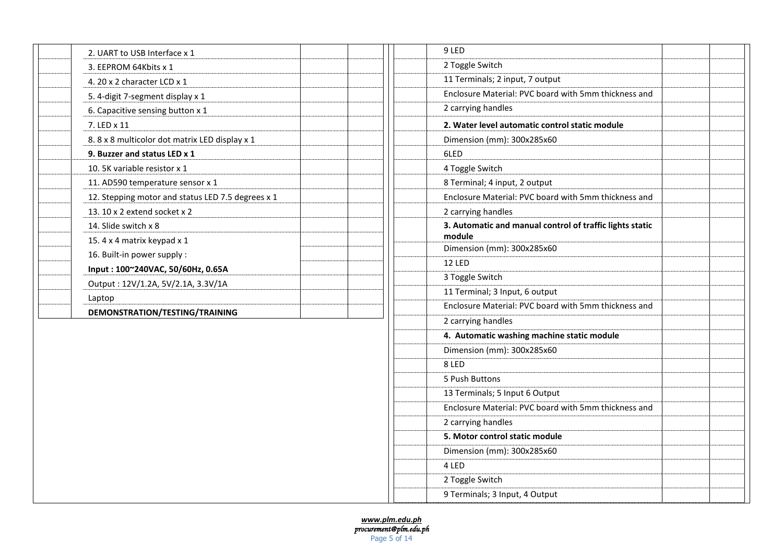| 2. UART to USB Interface x 1                      |  |  |
|---------------------------------------------------|--|--|
| 3. EEPROM 64Kbits x 1                             |  |  |
| 4. 20 x 2 character LCD x 1                       |  |  |
| 5. 4-digit 7-segment display x 1                  |  |  |
| 6. Capacitive sensing button x 1                  |  |  |
| 7. LED x 11                                       |  |  |
| 8.8 x 8 multicolor dot matrix LED display x 1     |  |  |
| 9. Buzzer and status LED x 1                      |  |  |
| 10. 5K variable resistor x 1                      |  |  |
| 11. AD590 temperature sensor x 1                  |  |  |
| 12. Stepping motor and status LED 7.5 degrees x 1 |  |  |
| 13. 10 x 2 extend socket x 2                      |  |  |
| 14. Slide switch x 8                              |  |  |
| 15.4 x 4 matrix keypad x 1                        |  |  |
| 16. Built-in power supply:                        |  |  |
| Input: 100~240VAC, 50/60Hz, 0.65A                 |  |  |
| Output: 12V/1.2A, 5V/2.1A, 3.3V/1A                |  |  |
| Laptop                                            |  |  |
| DEMONSTRATION/TESTING/TRAINING                    |  |  |

| 9 LED                                                              |  |
|--------------------------------------------------------------------|--|
| 2 Toggle Switch                                                    |  |
| 11 Terminals; 2 input, 7 output                                    |  |
| Enclosure Material: PVC board with 5mm thickness and               |  |
| 2 carrying handles                                                 |  |
| 2. Water level automatic control static module                     |  |
| Dimension (mm): 300x285x60                                         |  |
| 6LED                                                               |  |
| 4 Toggle Switch                                                    |  |
| 8 Terminal; 4 input, 2 output                                      |  |
| Enclosure Material: PVC board with 5mm thickness and               |  |
| 2 carrying handles                                                 |  |
| 3. Automatic and manual control of traffic lights static<br>module |  |
| Dimension (mm): 300x285x60                                         |  |
| <b>12 LED</b>                                                      |  |
| 3 Toggle Switch                                                    |  |
| 11 Terminal; 3 Input, 6 output                                     |  |
| Enclosure Material: PVC board with 5mm thickness and               |  |
| 2 carrying handles                                                 |  |
| 4. Automatic washing machine static module                         |  |
| Dimension (mm): 300x285x60                                         |  |
| 8 LED                                                              |  |
| 5 Push Buttons                                                     |  |
| 13 Terminals; 5 Input 6 Output                                     |  |
| Enclosure Material: PVC board with 5mm thickness and               |  |
| 2 carrying handles                                                 |  |
| 5. Motor control static module                                     |  |
| Dimension (mm): 300x285x60                                         |  |
| 4 LED                                                              |  |
| 2 Toggle Switch                                                    |  |
| 9 Terminals; 3 Input, 4 Output                                     |  |
|                                                                    |  |

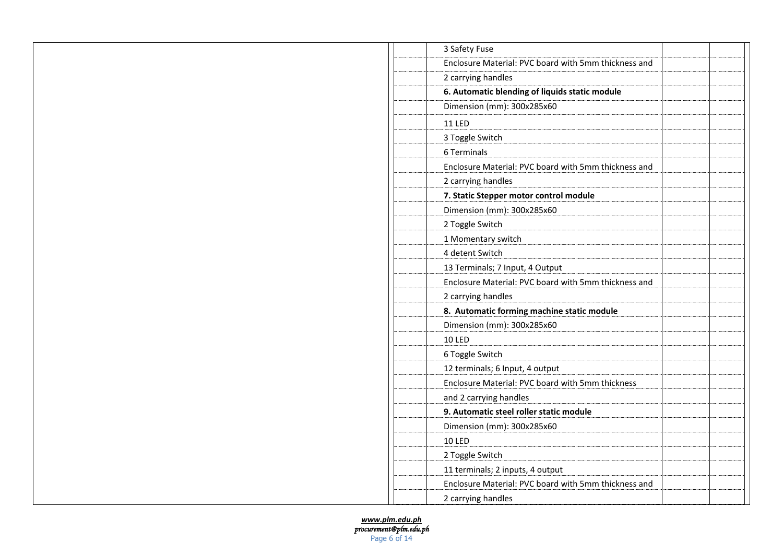| 3 Safety Fuse                                        |  |
|------------------------------------------------------|--|
| Enclosure Material: PVC board with 5mm thickness and |  |
| 2 carrying handles                                   |  |
| 6. Automatic blending of liquids static module       |  |
| Dimension (mm): 300x285x60                           |  |
| <b>11 LED</b>                                        |  |
| 3 Toggle Switch                                      |  |
| 6 Terminals                                          |  |
| Enclosure Material: PVC board with 5mm thickness and |  |
| 2 carrying handles                                   |  |
| 7. Static Stepper motor control module               |  |
| Dimension (mm): 300x285x60                           |  |
| 2 Toggle Switch                                      |  |
| 1 Momentary switch                                   |  |
| 4 detent Switch                                      |  |
| 13 Terminals; 7 Input, 4 Output                      |  |
| Enclosure Material: PVC board with 5mm thickness and |  |
| 2 carrying handles                                   |  |
| 8. Automatic forming machine static module           |  |
| Dimension (mm): 300x285x60                           |  |
| <b>10 LED</b>                                        |  |
| 6 Toggle Switch                                      |  |
| 12 terminals; 6 Input, 4 output                      |  |
| Enclosure Material: PVC board with 5mm thickness     |  |
| and 2 carrying handles                               |  |
| 9. Automatic steel roller static module              |  |
| Dimension (mm): 300x285x60                           |  |
| <b>10 LED</b>                                        |  |
| 2 Toggle Switch                                      |  |
| 11 terminals; 2 inputs, 4 output                     |  |
| Enclosure Material: PVC board with 5mm thickness and |  |
| 2 carrying handles                                   |  |

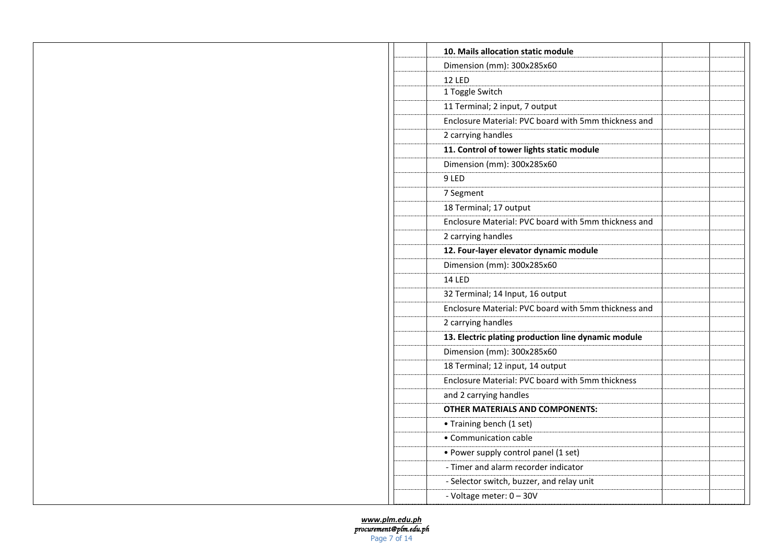| 10. Mails allocation static module                   |  |
|------------------------------------------------------|--|
| Dimension (mm): 300x285x60                           |  |
| <b>12 LED</b>                                        |  |
| 1 Toggle Switch                                      |  |
| 11 Terminal; 2 input, 7 output                       |  |
| Enclosure Material: PVC board with 5mm thickness and |  |
| 2 carrying handles                                   |  |
| 11. Control of tower lights static module            |  |
| Dimension (mm): 300x285x60                           |  |
| 9 LED                                                |  |
| 7 Segment                                            |  |
| 18 Terminal; 17 output                               |  |
| Enclosure Material: PVC board with 5mm thickness and |  |
| 2 carrying handles                                   |  |
| 12. Four-layer elevator dynamic module               |  |
| Dimension (mm): 300x285x60                           |  |
| <b>14 LED</b>                                        |  |
| 32 Terminal; 14 Input, 16 output                     |  |
| Enclosure Material: PVC board with 5mm thickness and |  |
| 2 carrying handles                                   |  |
| 13. Electric plating production line dynamic module  |  |
| Dimension (mm): 300x285x60                           |  |
| 18 Terminal; 12 input, 14 output                     |  |
| Enclosure Material: PVC board with 5mm thickness     |  |
| and 2 carrying handles                               |  |
| <b>OTHER MATERIALS AND COMPONENTS:</b>               |  |
| • Training bench (1 set)                             |  |
| • Communication cable                                |  |
| • Power supply control panel (1 set)                 |  |
| - Timer and alarm recorder indicator                 |  |
| - Selector switch, buzzer, and relay unit            |  |
| - Voltage meter: 0 - 30V                             |  |
|                                                      |  |

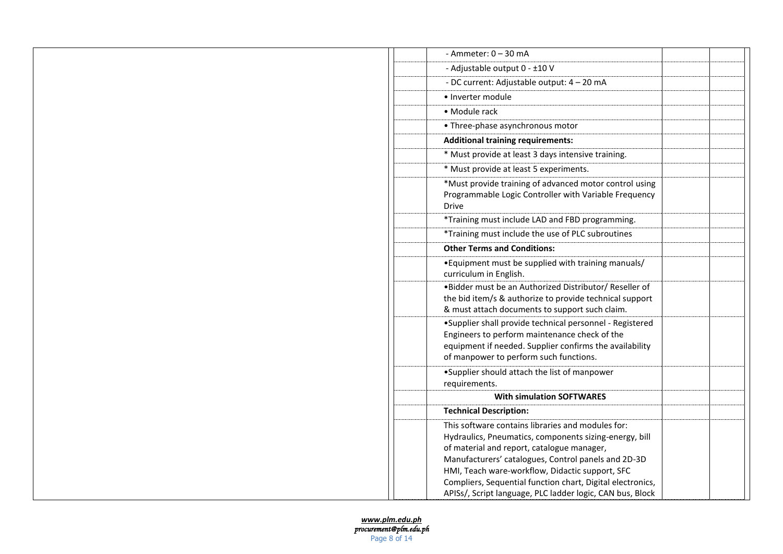| - Ammeter: $0 - 30$ mA                                                                                                                                                                                         |  |
|----------------------------------------------------------------------------------------------------------------------------------------------------------------------------------------------------------------|--|
| - Adjustable output 0 - ±10 V                                                                                                                                                                                  |  |
| - DC current: Adjustable output: 4 - 20 mA                                                                                                                                                                     |  |
| • Inverter module                                                                                                                                                                                              |  |
| • Module rack                                                                                                                                                                                                  |  |
| • Three-phase asynchronous motor                                                                                                                                                                               |  |
| <b>Additional training requirements:</b>                                                                                                                                                                       |  |
| * Must provide at least 3 days intensive training.                                                                                                                                                             |  |
| * Must provide at least 5 experiments.                                                                                                                                                                         |  |
| *Must provide training of advanced motor control using<br>Programmable Logic Controller with Variable Frequency<br><b>Drive</b>                                                                                |  |
| *Training must include LAD and FBD programming.                                                                                                                                                                |  |
| *Training must include the use of PLC subroutines                                                                                                                                                              |  |
| <b>Other Terms and Conditions:</b>                                                                                                                                                                             |  |
| • Equipment must be supplied with training manuals/<br>curriculum in English.                                                                                                                                  |  |
| .Bidder must be an Authorized Distributor/ Reseller of<br>the bid item/s & authorize to provide technical support<br>& must attach documents to support such claim.                                            |  |
| •Supplier shall provide technical personnel - Registered<br>Engineers to perform maintenance check of the<br>equipment if needed. Supplier confirms the availability<br>of manpower to perform such functions. |  |
| •Supplier should attach the list of manpower<br>requirements.                                                                                                                                                  |  |
| <b>With simulation SOFTWARES</b>                                                                                                                                                                               |  |
| <b>Technical Description:</b>                                                                                                                                                                                  |  |
| This software contains libraries and modules for:                                                                                                                                                              |  |
| Hydraulics, Pneumatics, components sizing-energy, bill                                                                                                                                                         |  |
| of material and report, catalogue manager,                                                                                                                                                                     |  |
| Manufacturers' catalogues, Control panels and 2D-3D                                                                                                                                                            |  |
| HMI, Teach ware-workflow, Didactic support, SFC<br>Compliers, Sequential function chart, Digital electronics,                                                                                                  |  |
| APISs/, Script language, PLC ladder logic, CAN bus, Block                                                                                                                                                      |  |

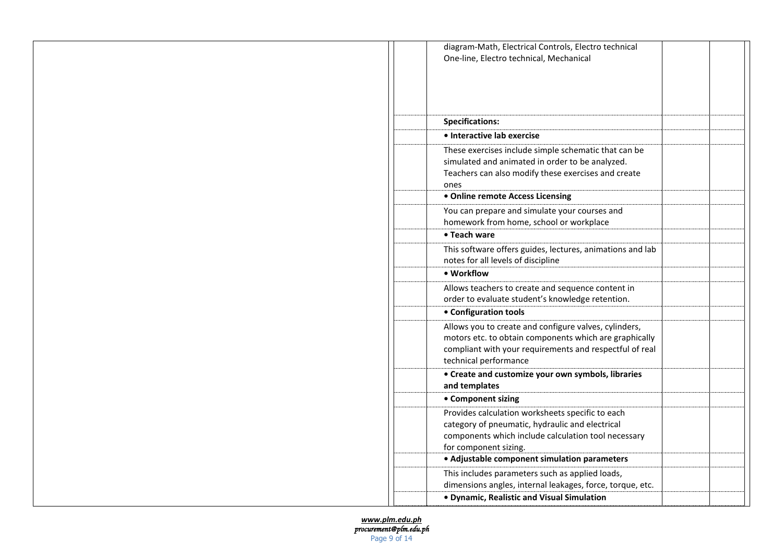| diagram-Math, Electrical Controls, Electro technical<br>One-line, Electro technical, Mechanical                                                                                                     |  |
|-----------------------------------------------------------------------------------------------------------------------------------------------------------------------------------------------------|--|
|                                                                                                                                                                                                     |  |
|                                                                                                                                                                                                     |  |
| <b>Specifications:</b>                                                                                                                                                                              |  |
| · Interactive lab exercise                                                                                                                                                                          |  |
| These exercises include simple schematic that can be<br>simulated and animated in order to be analyzed.<br>Teachers can also modify these exercises and create<br>ones                              |  |
| • Online remote Access Licensing                                                                                                                                                                    |  |
| You can prepare and simulate your courses and<br>homework from home, school or workplace                                                                                                            |  |
| • Teach ware                                                                                                                                                                                        |  |
| This software offers guides, lectures, animations and lab<br>notes for all levels of discipline                                                                                                     |  |
| • Workflow                                                                                                                                                                                          |  |
| Allows teachers to create and sequence content in<br>order to evaluate student's knowledge retention.                                                                                               |  |
| • Configuration tools                                                                                                                                                                               |  |
| Allows you to create and configure valves, cylinders,<br>motors etc. to obtain components which are graphically<br>compliant with your requirements and respectful of real<br>technical performance |  |
| • Create and customize your own symbols, libraries<br>and templates                                                                                                                                 |  |
| • Component sizing                                                                                                                                                                                  |  |
| Provides calculation worksheets specific to each<br>category of pneumatic, hydraulic and electrical<br>components which include calculation tool necessary<br>for component sizing.                 |  |
| • Adjustable component simulation parameters                                                                                                                                                        |  |
| This includes parameters such as applied loads,<br>dimensions angles, internal leakages, force, torque, etc.                                                                                        |  |
| • Dynamic, Realistic and Visual Simulation                                                                                                                                                          |  |

*[www.plm.edu.ph](http://www.plm.edu.ph/) procurement@plm.edu.ph*  Page 9 of 14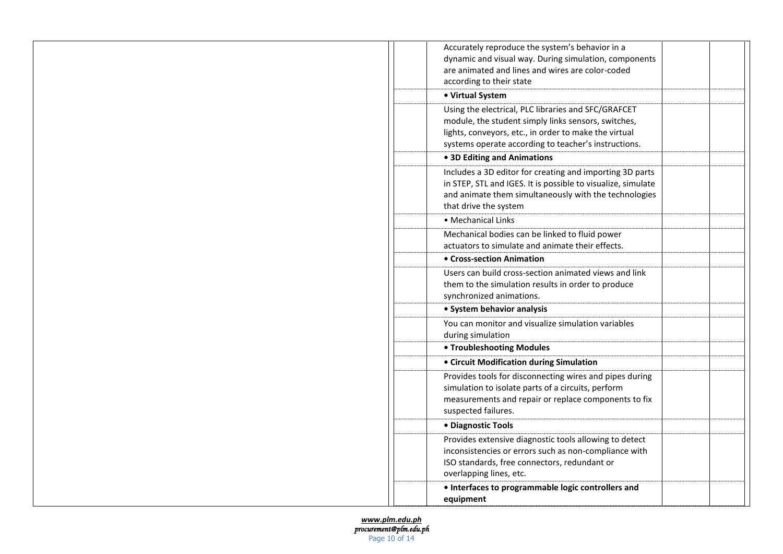| Accurately reproduce the system's behavior in a<br>dynamic and visual way. During simulation, components<br>are animated and lines and wires are color-coded<br>according to their state                                    |  |
|-----------------------------------------------------------------------------------------------------------------------------------------------------------------------------------------------------------------------------|--|
| • Virtual System                                                                                                                                                                                                            |  |
| Using the electrical, PLC libraries and SFC/GRAFCET<br>module, the student simply links sensors, switches,<br>lights, conveyors, etc., in order to make the virtual<br>systems operate according to teacher's instructions. |  |
| • 3D Editing and Animations                                                                                                                                                                                                 |  |
| Includes a 3D editor for creating and importing 3D parts<br>in STEP, STL and IGES. It is possible to visualize, simulate<br>and animate them simultaneously with the technologies<br>that drive the system                  |  |
| • Mechanical Links                                                                                                                                                                                                          |  |
| Mechanical bodies can be linked to fluid power<br>actuators to simulate and animate their effects.                                                                                                                          |  |
| • Cross-section Animation                                                                                                                                                                                                   |  |
| Users can build cross-section animated views and link<br>them to the simulation results in order to produce<br>synchronized animations.                                                                                     |  |
| • System behavior analysis                                                                                                                                                                                                  |  |
| You can monitor and visualize simulation variables<br>during simulation                                                                                                                                                     |  |
| <b>• Troubleshooting Modules</b>                                                                                                                                                                                            |  |
| • Circuit Modification during Simulation                                                                                                                                                                                    |  |
| Provides tools for disconnecting wires and pipes during<br>simulation to isolate parts of a circuits, perform<br>measurements and repair or replace components to fix<br>suspected failures.                                |  |
| • Diagnostic Tools                                                                                                                                                                                                          |  |
| Provides extensive diagnostic tools allowing to detect<br>inconsistencies or errors such as non-compliance with<br>ISO standards, free connectors, redundant or<br>overlapping lines, etc.                                  |  |
| • Interfaces to programmable logic controllers and<br>equipment                                                                                                                                                             |  |

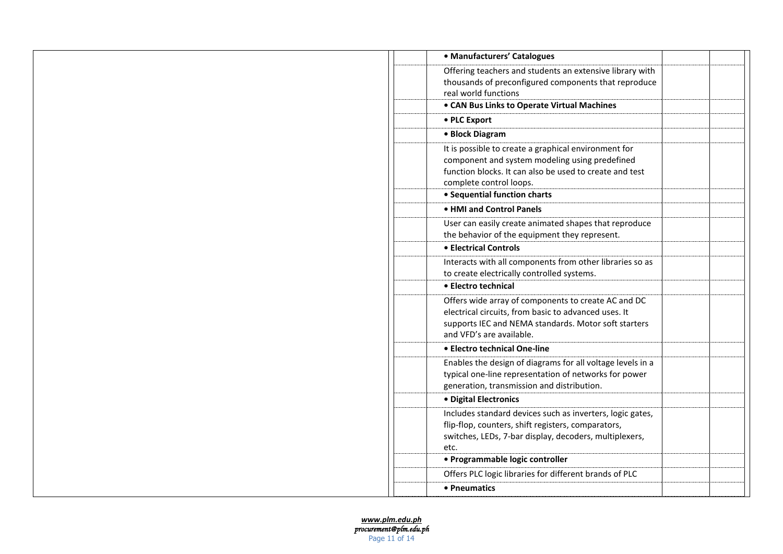| • Manufacturers' Catalogues                                                                                                                                                                                                  |  |
|------------------------------------------------------------------------------------------------------------------------------------------------------------------------------------------------------------------------------|--|
| Offering teachers and students an extensive library with<br>thousands of preconfigured components that reproduce<br>real world functions                                                                                     |  |
| • CAN Bus Links to Operate Virtual Machines                                                                                                                                                                                  |  |
| • PLC Export                                                                                                                                                                                                                 |  |
| • Block Diagram                                                                                                                                                                                                              |  |
| It is possible to create a graphical environment for<br>component and system modeling using predefined<br>function blocks. It can also be used to create and test<br>complete control loops.<br>• Sequential function charts |  |
| • HMI and Control Panels                                                                                                                                                                                                     |  |
| User can easily create animated shapes that reproduce<br>the behavior of the equipment they represent.                                                                                                                       |  |
| • Electrical Controls                                                                                                                                                                                                        |  |
| Interacts with all components from other libraries so as<br>to create electrically controlled systems.                                                                                                                       |  |
| • Electro technical                                                                                                                                                                                                          |  |
| Offers wide array of components to create AC and DC<br>electrical circuits, from basic to advanced uses. It<br>supports IEC and NEMA standards. Motor soft starters<br>and VFD's are available.                              |  |
| • Electro technical One-line                                                                                                                                                                                                 |  |
| Enables the design of diagrams for all voltage levels in a<br>typical one-line representation of networks for power<br>generation, transmission and distribution.                                                            |  |
| · Digital Electronics                                                                                                                                                                                                        |  |
| Includes standard devices such as inverters, logic gates,<br>flip-flop, counters, shift registers, comparators,<br>switches, LEDs, 7-bar display, decoders, multiplexers,<br>etc.                                            |  |
| • Programmable logic controller                                                                                                                                                                                              |  |
| Offers PLC logic libraries for different brands of PLC                                                                                                                                                                       |  |
| • Pneumatics                                                                                                                                                                                                                 |  |

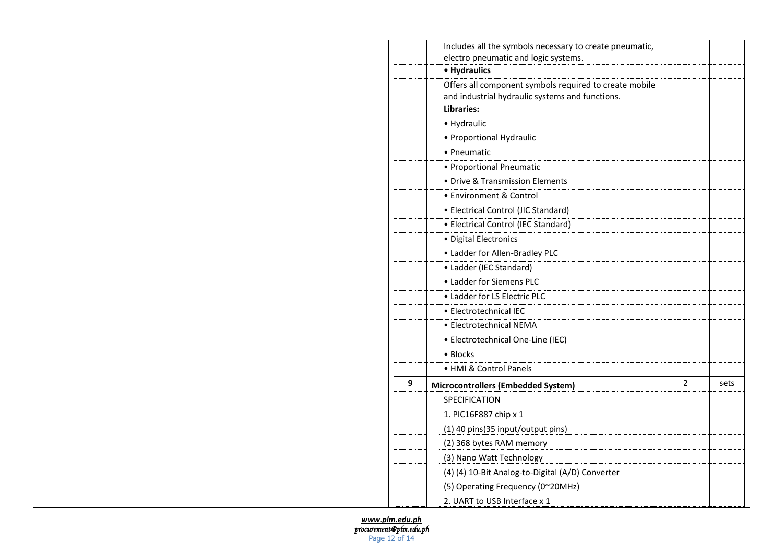|   | Includes all the symbols necessary to create pneumatic, |                |      |
|---|---------------------------------------------------------|----------------|------|
|   | electro pneumatic and logic systems.                    |                |      |
|   | • Hydraulics                                            |                |      |
|   | Offers all component symbols required to create mobile  |                |      |
|   | and industrial hydraulic systems and functions.         |                |      |
|   | <b>Libraries:</b>                                       |                |      |
|   | • Hydraulic                                             |                |      |
|   | • Proportional Hydraulic                                |                |      |
|   | • Pneumatic                                             |                |      |
|   | • Proportional Pneumatic                                |                |      |
|   | • Drive & Transmission Elements                         |                |      |
|   | • Environment & Control                                 |                |      |
|   | • Electrical Control (JIC Standard)                     |                |      |
|   | • Electrical Control (IEC Standard)                     |                |      |
|   | · Digital Electronics                                   |                |      |
|   | • Ladder for Allen-Bradley PLC                          |                |      |
|   | • Ladder (IEC Standard)                                 |                |      |
|   | • Ladder for Siemens PLC                                |                |      |
|   | • Ladder for LS Electric PLC                            |                |      |
|   | • Electrotechnical IEC                                  |                |      |
|   | • Electrotechnical NEMA                                 |                |      |
|   | · Electrotechnical One-Line (IEC)                       |                |      |
|   | • Blocks                                                |                |      |
|   | • HMI & Control Panels                                  |                |      |
| 9 | Microcontrollers (Embedded System)                      | $\overline{2}$ | sets |
|   | SPECIFICATION                                           |                |      |
|   | 1. PIC16F887 chip x 1                                   |                |      |
|   | (1) 40 pins(35 input/output pins)                       |                |      |
|   | (2) 368 bytes RAM memory                                |                |      |
|   | (3) Nano Watt Technology                                |                |      |
|   | (4) (4) 10-Bit Analog-to-Digital (A/D) Converter        |                |      |
|   | (5) Operating Frequency (0~20MHz)                       |                |      |
|   | 2. UART to USB Interface x 1                            |                |      |

*[www.plm.edu.ph](http://www.plm.edu.ph/) procurement@plm.edu.ph*  Page 12 of 14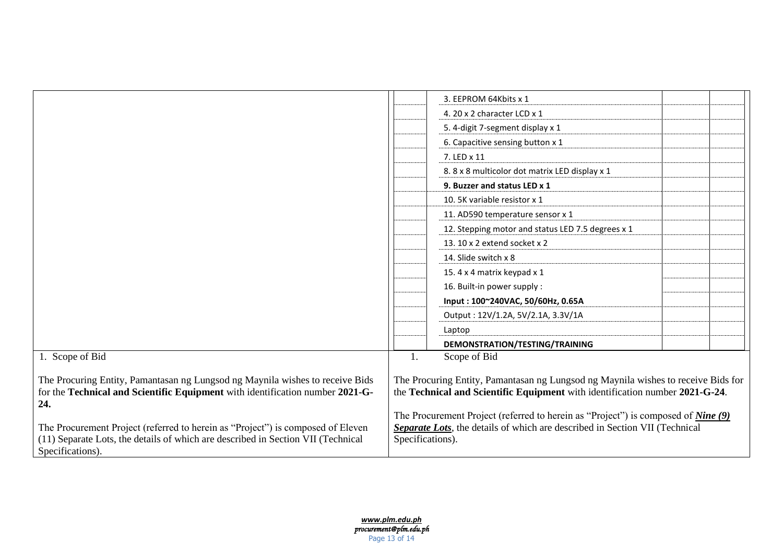|                                                                                                                                                                                         |                                                                                                                                                                                             | 3. EEPROM 64Kbits x 1                             |  |  |
|-----------------------------------------------------------------------------------------------------------------------------------------------------------------------------------------|---------------------------------------------------------------------------------------------------------------------------------------------------------------------------------------------|---------------------------------------------------|--|--|
|                                                                                                                                                                                         |                                                                                                                                                                                             | 4. 20 x 2 character LCD x 1                       |  |  |
|                                                                                                                                                                                         |                                                                                                                                                                                             | 5. 4-digit 7-segment display x 1                  |  |  |
|                                                                                                                                                                                         |                                                                                                                                                                                             | 6. Capacitive sensing button x 1                  |  |  |
|                                                                                                                                                                                         |                                                                                                                                                                                             | 7. LED x 11                                       |  |  |
|                                                                                                                                                                                         |                                                                                                                                                                                             | 8.8 x 8 multicolor dot matrix LED display x 1     |  |  |
|                                                                                                                                                                                         |                                                                                                                                                                                             | 9. Buzzer and status LED x 1                      |  |  |
|                                                                                                                                                                                         |                                                                                                                                                                                             | 10. 5K variable resistor x 1                      |  |  |
|                                                                                                                                                                                         |                                                                                                                                                                                             | 11. AD590 temperature sensor x 1                  |  |  |
|                                                                                                                                                                                         |                                                                                                                                                                                             | 12. Stepping motor and status LED 7.5 degrees x 1 |  |  |
|                                                                                                                                                                                         |                                                                                                                                                                                             | 13. 10 x 2 extend socket x 2                      |  |  |
|                                                                                                                                                                                         |                                                                                                                                                                                             | 14. Slide switch x 8                              |  |  |
|                                                                                                                                                                                         |                                                                                                                                                                                             | 15.4 x 4 matrix keypad x 1                        |  |  |
|                                                                                                                                                                                         |                                                                                                                                                                                             | 16. Built-in power supply:                        |  |  |
|                                                                                                                                                                                         |                                                                                                                                                                                             | Input: 100~240VAC, 50/60Hz, 0.65A                 |  |  |
|                                                                                                                                                                                         |                                                                                                                                                                                             | Output: 12V/1.2A, 5V/2.1A, 3.3V/1A                |  |  |
|                                                                                                                                                                                         |                                                                                                                                                                                             | Laptop                                            |  |  |
|                                                                                                                                                                                         |                                                                                                                                                                                             | DEMONSTRATION/TESTING/TRAINING                    |  |  |
| 1. Scope of Bid                                                                                                                                                                         | 1.                                                                                                                                                                                          | Scope of Bid                                      |  |  |
| The Procuring Entity, Pamantasan ng Lungsod ng Maynila wishes to receive Bids<br>for the Technical and Scientific Equipment with identification number 2021-G-<br>24.                   | The Procuring Entity, Pamantasan ng Lungsod ng Maynila wishes to receive Bids for<br>the Technical and Scientific Equipment with identification number 2021-G-24.                           |                                                   |  |  |
| The Procurement Project (referred to herein as "Project") is composed of Eleven<br>(11) Separate Lots, the details of which are described in Section VII (Technical<br>Specifications). | The Procurement Project (referred to herein as "Project") is composed of <u>Nine (9)</u><br>Separate Lots, the details of which are described in Section VII (Technical<br>Specifications). |                                                   |  |  |